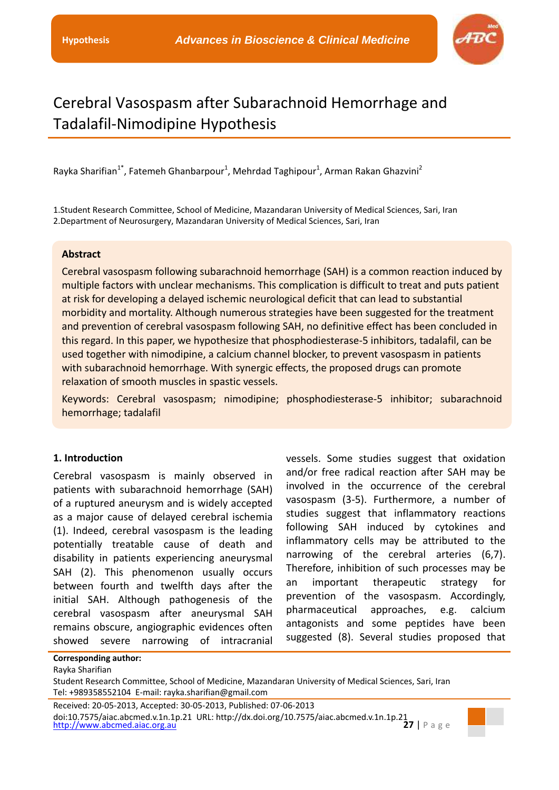

# Cerebral Vasospasm after Subarachnoid Hemorrhage and Tadalafil-Nimodipine Hypothesis

Rayka Sharifian<sup>1\*</sup>, Fatemeh Ghanbarpour<sup>1</sup>, Mehrdad Taghipour<sup>1</sup>, Arman Rakan Ghazvini<sup>2</sup>

1.Student Research Committee, School of Medicine, Mazandaran University of Medical Sciences, Sari, Iran 2.Department of Neurosurgery, Mazandaran University of Medical Sciences, Sari, Iran

#### **Abstract**

Cerebral vasospasm following subarachnoid hemorrhage (SAH) is a common reaction induced by multiple factors with unclear mechanisms. This complication is difficult to treat and puts patient at risk for developing a delayed ischemic neurological deficit that can lead to substantial morbidity and mortality. Although numerous strategies have been suggested for the treatment and prevention of cerebral vasospasm following SAH, no definitive effect has been concluded in this regard. In this paper, we hypothesize that phosphodiesterase-5 inhibitors, tadalafil, can be used together with nimodipine, a calcium channel blocker, to prevent vasospasm in patients with subarachnoid hemorrhage. With synergic effects, the proposed drugs can promote relaxation of smooth muscles in spastic vessels.

Keywords: Cerebral vasospasm; nimodipine; phosphodiesterase-5 inhibitor; subarachnoid hemorrhage; tadalafil

### **1. Introduction**

**Corresponding author:**

Cerebral vasospasm is mainly observed in patients with subarachnoid hemorrhage (SAH) of a ruptured aneurysm and is widely accepted as a major cause of delayed cerebral ischemia (1). Indeed, cerebral vasospasm is the leading potentially treatable cause of death and disability in patients experiencing aneurysmal SAH (2). This phenomenon usually occurs between fourth and twelfth days after the initial SAH. Although pathogenesis of the cerebral vasospasm after aneurysmal SAH remains obscure, angiographic evidences often showed severe narrowing of intracranial vessels. Some studies suggest that oxidation and/or free radical reaction after SAH may be involved in the occurrence of the cerebral vasospasm (3-5). Furthermore, a number of studies suggest that inflammatory reactions following SAH induced by cytokines and inflammatory cells may be attributed to the narrowing of the cerebral arteries (6,7). Therefore, inhibition of such processes may be an important therapeutic strategy for prevention of the vasospasm. Accordingly, pharmaceutical approaches, e.g. calcium antagonists and some peptides have been suggested (8). Several studies proposed that

### Rayka Sharifian Student Research Committee, School of Medicine, Mazandaran University of Medical Sciences, Sari, Iran Tel: +989358552104 E-mail: rayka.sharifian@gmail.com

[http://www.abcmed.aiac.org.au](http://www.abcmed.aiac.org.au/) **27** | P a g e Received: 20-05-2013, Accepted: 30-05-2013, Published: 07-06-2013 doi:10.7575/aiac.abcmed.v.1n.1p.21 URL: http://dx.doi.org/10.7575/aiac.abcmed.v.1n.1p.21

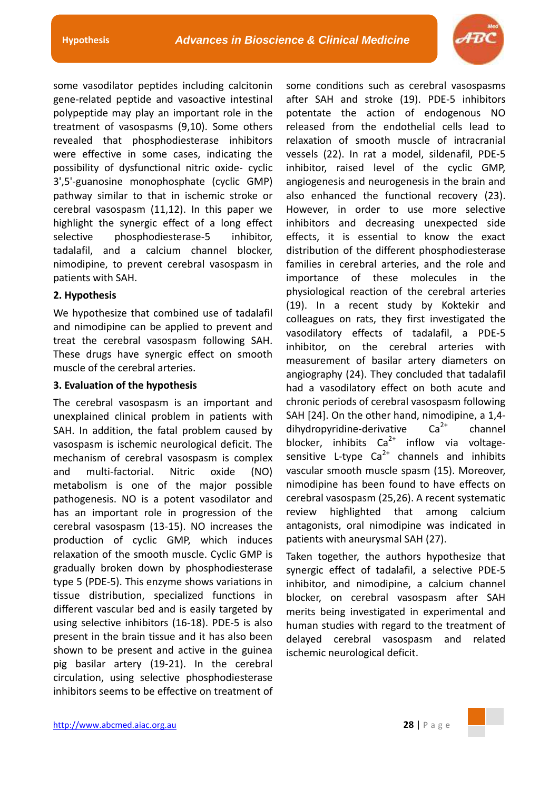

some vasodilator peptides including calcitonin gene-related peptide and vasoactive intestinal polypeptide may play an important role in the treatment of vasospasms (9,10). Some others revealed that phosphodiesterase inhibitors were effective in some cases, indicating the possibility of dysfunctional nitric oxide- cyclic 3',5'-guanosine monophosphate (cyclic GMP) pathway similar to that in ischemic stroke or cerebral vasospasm (11,12). In this paper we highlight the synergic effect of a long effect selective phosphodiesterase-5 inhibitor, tadalafil, and a calcium channel blocker, nimodipine, to prevent cerebral vasospasm in patients with SAH.

## **2. Hypothesis**

We hypothesize that combined use of tadalafil and nimodipine can be applied to prevent and treat the cerebral vasospasm following SAH. These drugs have synergic effect on smooth muscle of the cerebral arteries.

## **3. Evaluation of the hypothesis**

The cerebral vasospasm is an important and unexplained clinical problem in patients with SAH. In addition, the fatal problem caused by vasospasm is ischemic neurological deficit. The mechanism of cerebral vasospasm is complex and multi-factorial. Nitric oxide (NO) metabolism is one of the major possible pathogenesis. NO is a potent vasodilator and has an important role in progression of the cerebral vasospasm (13-15). NO increases the production of cyclic GMP, which induces relaxation of the smooth muscle. Cyclic GMP is gradually broken down by phosphodiesterase type 5 (PDE-5). This enzyme shows variations in tissue distribution, specialized functions in different vascular bed and is easily targeted by using selective inhibitors (16-18). PDE-5 is also present in the brain tissue and it has also been shown to be present and active in the guinea pig basilar artery (19-21). In the cerebral circulation, using selective phosphodiesterase inhibitors seems to be effective on treatment of

some conditions such as cerebral vasospasms after SAH and stroke (19). PDE-5 inhibitors potentate the action of endogenous NO released from the endothelial cells lead to relaxation of smooth muscle of intracranial vessels (22). In rat a model, sildenafil, PDE-5 inhibitor, raised level of the cyclic GMP, angiogenesis and neurogenesis in the brain and also enhanced the functional recovery (23). However, in order to use more selective inhibitors and decreasing unexpected side effects, it is essential to know the exact distribution of the different phosphodiesterase families in cerebral arteries, and the role and importance of these molecules in the physiological reaction of the cerebral arteries (19). In a recent study by Koktekir and colleagues on rats, they first investigated the vasodilatory effects of tadalafil, a PDE-5 inhibitor, on the cerebral arteries with measurement of basilar artery diameters on angiography (24). They concluded that tadalafil had a vasodilatory effect on both acute and chronic periods of cerebral vasospasm following SAH [24]. On the other hand, nimodipine, a 1,4dihydropyridine-derivative  $Ca^{2+}$  channel blocker, inhibits  $Ca^{2+}$  inflow via voltagesensitive L-type  $Ca^{2+}$  channels and inhibits vascular smooth muscle spasm (15). Moreover, nimodipine has been found to have effects on cerebral vasospasm (25,26). A recent systematic review highlighted that among calcium antagonists, oral nimodipine was indicated in patients with aneurysmal SAH (27).

Taken together, the authors hypothesize that synergic effect of tadalafil, a selective PDE-5 inhibitor, and nimodipine, a calcium channel blocker, on cerebral vasospasm after SAH merits being investigated in experimental and human studies with regard to the treatment of delayed cerebral vasospasm and related ischemic neurological deficit.

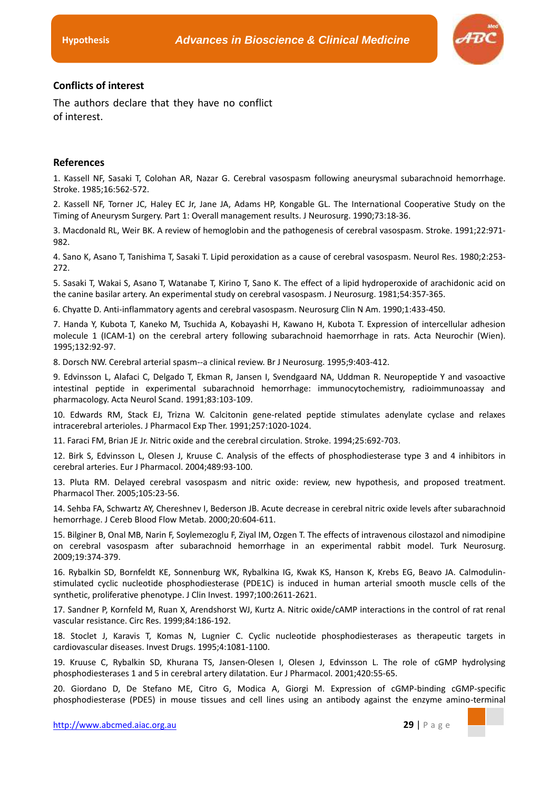

#### **Conflicts of interest**

The authors declare that they have no conflict of interest.

#### **References**

1. Kassell NF, Sasaki T, Colohan AR, Nazar G. Cerebral vasospasm following aneurysmal subarachnoid hemorrhage. Stroke. 1985;16:562-572.

2. Kassell NF, Torner JC, Haley EC Jr, Jane JA, Adams HP, Kongable GL. The International Cooperative Study on the Timing of Aneurysm Surgery. Part 1: Overall management results. J Neurosurg. 1990;73:18-36.

3. Macdonald RL, Weir BK. A review of hemoglobin and the pathogenesis of cerebral vasospasm. Stroke. 1991;22:971- 982.

4. Sano K, Asano T, Tanishima T, Sasaki T. Lipid peroxidation as a cause of cerebral vasospasm. Neurol Res. 1980;2:253- 272.

5. Sasaki T, Wakai S, Asano T, Watanabe T, Kirino T, Sano K. The effect of a lipid hydroperoxide of arachidonic acid on the canine basilar artery. An experimental study on cerebral vasospasm. J Neurosurg. 1981;54:357-365.

6. Chyatte D. Anti-inflammatory agents and cerebral vasospasm. Neurosurg Clin N Am. 1990;1:433-450.

7. Handa Y, Kubota T, Kaneko M, Tsuchida A, Kobayashi H, Kawano H, Kubota T. Expression of intercellular adhesion molecule 1 (ICAM-1) on the cerebral artery following subarachnoid haemorrhage in rats. Acta Neurochir (Wien). 1995;132:92-97.

8. Dorsch NW. Cerebral arterial spasm--a clinical review. Br J Neurosurg. 1995;9:403-412.

9. Edvinsson L, Alafaci C, Delgado T, Ekman R, Jansen I, Svendgaard NA, Uddman R. Neuropeptide Y and vasoactive intestinal peptide in experimental subarachnoid hemorrhage: immunocytochemistry, radioimmunoassay and pharmacology. Acta Neurol Scand. 1991;83:103-109.

10. Edwards RM, Stack EJ, Trizna W. Calcitonin gene-related peptide stimulates adenylate cyclase and relaxes intracerebral arterioles. J Pharmacol Exp Ther. 1991;257:1020-1024.

11. Faraci FM, Brian JE Jr. Nitric oxide and the cerebral circulation. Stroke. 1994;25:692-703.

12. Birk S, Edvinsson L, Olesen J, Kruuse C. Analysis of the effects of phosphodiesterase type 3 and 4 inhibitors in cerebral arteries. Eur J Pharmacol. 2004;489:93-100.

13. Pluta RM. Delayed cerebral vasospasm and nitric oxide: review, new hypothesis, and proposed treatment. Pharmacol Ther. 2005;105:23-56.

14. Sehba FA, Schwartz AY, Chereshnev I, Bederson JB. Acute decrease in cerebral nitric oxide levels after subarachnoid hemorrhage. J Cereb Blood Flow Metab. 2000;20:604-611.

15. Bilginer B, Onal MB, Narin F, Soylemezoglu F, Ziyal IM, Ozgen T. The effects of intravenous cilostazol and nimodipine on cerebral vasospasm after subarachnoid hemorrhage in an experimental rabbit model. Turk Neurosurg. 2009;19:374-379.

16. Rybalkin SD, Bornfeldt KE, Sonnenburg WK, Rybalkina IG, Kwak KS, Hanson K, Krebs EG, Beavo JA. Calmodulinstimulated cyclic nucleotide phosphodiesterase (PDE1C) is induced in human arterial smooth muscle cells of the synthetic, proliferative phenotype. J Clin Invest. 1997;100:2611-2621.

17. Sandner P, Kornfeld M, Ruan X, Arendshorst WJ, Kurtz A. Nitric oxide/cAMP interactions in the control of rat renal vascular resistance. Circ Res. 1999;84:186-192.

18. Stoclet J, Karavis T, Komas N, Lugnier C. Cyclic nucleotide phosphodiesterases as therapeutic targets in cardiovascular diseases. Invest Drugs. 1995;4:1081-1100.

19. Kruuse C, Rybalkin SD, Khurana TS, Jansen-Olesen I, Olesen J, Edvinsson L. The role of cGMP hydrolysing phosphodiesterases 1 and 5 in cerebral artery dilatation. Eur J Pharmacol. 2001;420:55-65.

20. Giordano D, De Stefano ME, Citro G, Modica A, Giorgi M. Expression of cGMP-binding cGMP-specific phosphodiesterase (PDE5) in mouse tissues and cell lines using an antibody against the enzyme amino-terminal